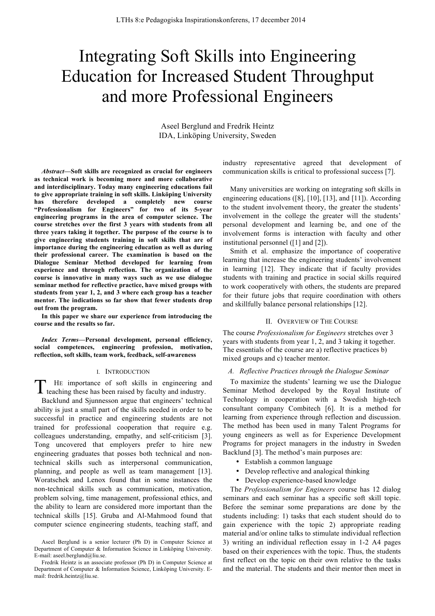# Integrating Soft Skills into Engineering Education for Increased Student Throughput and more Professional Engineers

Aseel Berglund and Fredrik Heintz IDA, Linköping University, Sweden

*Abstract***—Soft skills are recognized as crucial for engineers as technical work is becoming more and more collaborative and interdisciplinary. Today many engineering educations fail to give appropriate training in soft skills. Linköping University has therefore developed a completely new course "Professionalism for Engineers" for two of its 5-year engineering programs in the area of computer science. The course stretches over the first 3 years with students from all three years taking it together. The purpose of the course is to give engineering students training in soft skills that are of importance during the engineering education as well as during their professional career. The examination is based on the Dialogue Seminar Method developed for learning from experience and through reflection. The organization of the course is innovative in many ways such as we use dialogue seminar method for reflective practice, have mixed groups with students from year 1, 2, and 3 where each group has a teacher mentor. The indications so far show that fewer students drop out from the program.**

**In this paper we share our experience from introducing the course and the results so far.**

*Index Terms***—Personal development, personal efficiency, social competences, engineering profession, motivation, reflection, soft skills, team work, feedback, self-awareness**

#### I. INTRODUCTION

HE importance of soft skills in engineering and The importance of soft skills in engineering and industry.<br>The aching these has been raised by faculty and industry.

Backlund and Sjunnesson argue that engineers' technical ability is just a small part of the skills needed in order to be successful in practice and engineering students are not trained for professional cooperation that require e.g. colleagues understanding, empathy, and self-criticism [3]. Tong uncovered that employers prefer to hire new engineering graduates that posses both technical and nontechnical skills such as interpersonal communication, planning, and people as well as team management [13]. Woratschek and Lenox found that in some instances the non-technical skills such as communication, motivation, problem solving, time management, professional ethics, and the ability to learn are considered more important than the technical skills [15]. Gruba and Al-Mahmood found that computer science engineering students, teaching staff, and

industry representative agreed that development of communication skills is critical to professional success [7].

Many universities are working on integrating soft skills in engineering educations ([8], [10], [13], and [11]). According to the student involvement theory, the greater the students' involvement in the college the greater will the students' personal development and learning be, and one of the involvement forms is interaction with faculty and other institutional personnel ([1] and [2]).

Smith et al. emphasize the importance of cooperative learning that increase the engineering students' involvement in learning [12]. They indicate that if faculty provides students with training and practice in social skills required to work cooperatively with others, the students are prepared for their future jobs that require coordination with others and skillfully balance personal relationships [12].

#### II. OVERVIEW OF THE COURSE

The course *Professionalism for Engineers* stretches over 3 years with students from year 1, 2, and 3 taking it together. The essentials of the course are a) reflective practices b) mixed groups and c) teacher mentor.

# *A. Reflective Practices through the Dialogue Seminar*

To maximize the students' learning we use the Dialogue Seminar Method developed by the Royal Institute of Technology in cooperation with a Swedish high-tech consultant company Combitech [6]. It is a method for learning from experience through reflection and discussion. The method has been used in many Talent Programs for young engineers as well as for Experience Development Programs for project managers in the industry in Sweden Backlund [3]. The method's main purposes are:

- Establish a common language
- Develop reflective and analogical thinking
- Develop experience-based knowledge

The *Professionalism for Engineers* course has 12 dialog seminars and each seminar has a specific soft skill topic. Before the seminar some preparations are done by the students including: 1) tasks that each student should do to gain experience with the topic 2) appropriate reading material and/or online talks to stimulate individual reflection 3) writing an individual reflection essay in 1-2 A4 pages based on their experiences with the topic. Thus, the students first reflect on the topic on their own relative to the tasks and the material. The students and their mentor then meet in

Aseel Berglund is a senior lecturer (Ph D) in Computer Science at Department of Computer & Information Science in Linköping University. E-mail: aseel.berglund@liu.se.

Fredrik Heintz is an associate professor (Ph D) in Computer Science at Department of Computer & Information Science, Linköping University. Email: fredrik.heintz@liu.se.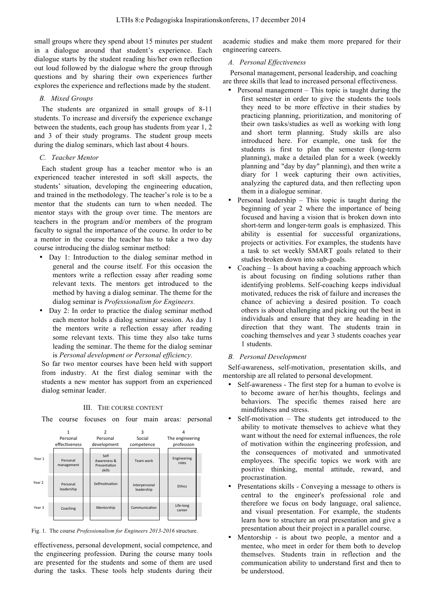small groups where they spend about 15 minutes per student in a dialogue around that student's experience. Each dialogue starts by the student reading his/her own reflection out loud followed by the dialogue where the group through questions and by sharing their own experiences further explores the experience and reflections made by the student.

#### *B. Mixed Groups*

The students are organized in small groups of 8-11 students. To increase and diversify the experience exchange between the students, each group has students from year 1, 2 and 3 of their study programs. The student group meets during the dialog seminars, which last about 4 hours.

### *C. Teacher Mentor*

Each student group has a teacher mentor who is an experienced teacher interested in soft skill aspects, the students' situation, developing the engineering education, and trained in the methodology. The teacher's role is to be a mentor that the students can turn to when needed. The mentor stays with the group over time. The mentors are teachers in the program and/or members of the program faculty to signal the importance of the course. In order to be a mentor in the course the teacher has to take a two day course introducing the dialog seminar method:

- Day 1: Introduction to the dialog seminar method in general and the course itself. For this occasion the mentors write a reflection essay after reading some relevant texts. The mentors get introduced to the method by having a dialog seminar. The theme for the dialog seminar is *Professionalism for Engineers.*
- Day 2: In order to practice the dialog seminar method each mentor holds a dialog seminar session. As day 1 the mentors write a reflection essay after reading some relevant texts. This time they also take turns leading the seminar. The theme for the dialog seminar is *Personal development or Personal efficiency.*

So far two mentor courses have been held with support from industry. At the first dialog seminar with the students a new mentor has support from an experienced dialog seminar leader.

III. THE COURSE CONTENT

The course focuses on four main areas: personal



Fig. 1. The course *Professionalism for Engineers 2013-2016* structure.

effectiveness, personal development, social competence, and the engineering profession. During the course many tools are presented for the students and some of them are used during the tasks. These tools help students during their academic studies and make them more prepared for their engineering careers.

# *A. Personal Effectiveness*

Personal management, personal leadership, and coaching are three skills that lead to increased personal effectiveness.

- Personal management This topic is taught during the first semester in order to give the students the tools they need to be more effective in their studies by practicing planning, prioritization, and monitoring of their own tasks/studies as well as working with long and short term planning. Study skills are also introduced here. For example, one task for the students is first to plan the semester (long-term planning), make a detailed plan for a week (weekly planning and "day by day" planning), and then write a diary for 1 week capturing their own activities, analyzing the captured data, and then reflecting upon them in a dialogue seminar.
- Personal leadership This topic is taught during the beginning of year 2 where the importance of being focused and having a vision that is broken down into short-term and longer-term goals is emphasized. This ability is essential for successful organizations, projects or activities. For examples, the students have a task to set weekly SMART goals related to their studies broken down into sub-goals.
- Coaching Is about having a coaching approach which is about focusing on finding solutions rather than identifying problems. Self-coaching keeps individual motivated, reduces the risk of failure and increases the chance of achieving a desired position. To coach others is about challenging and picking out the best in individuals and ensure that they are heading in the direction that they want. The students train in coaching themselves and year 3 students coaches year 1 students.

# *B. Personal Development*

Self-awareness, self-motivation, presentation skills, and mentorship are all related to personal development.

- Self-awareness The first step for a human to evolve is to become aware of her/his thoughts, feelings and behaviors. The specific themes raised here are mindfulness and stress.
- Self-motivation The students get introduced to the ability to motivate themselves to achieve what they want without the need for external influences, the role of motivation within the engineering profession, and the consequences of motivated and unmotivated employees. The specific topics we work with are positive thinking, mental attitude, reward, and procrastination.
- Presentations skills Conveying a message to others is central to the engineer's professional role and therefore we focus on body language, oral salience, and visual presentation. For example, the students learn how to structure an oral presentation and give a presentation about their project in a parallel course.
- Mentorship is about two people, a mentor and a mentee, who meet in order for them both to develop themselves. Students train in reflection and the communication ability to understand first and then to be understood.